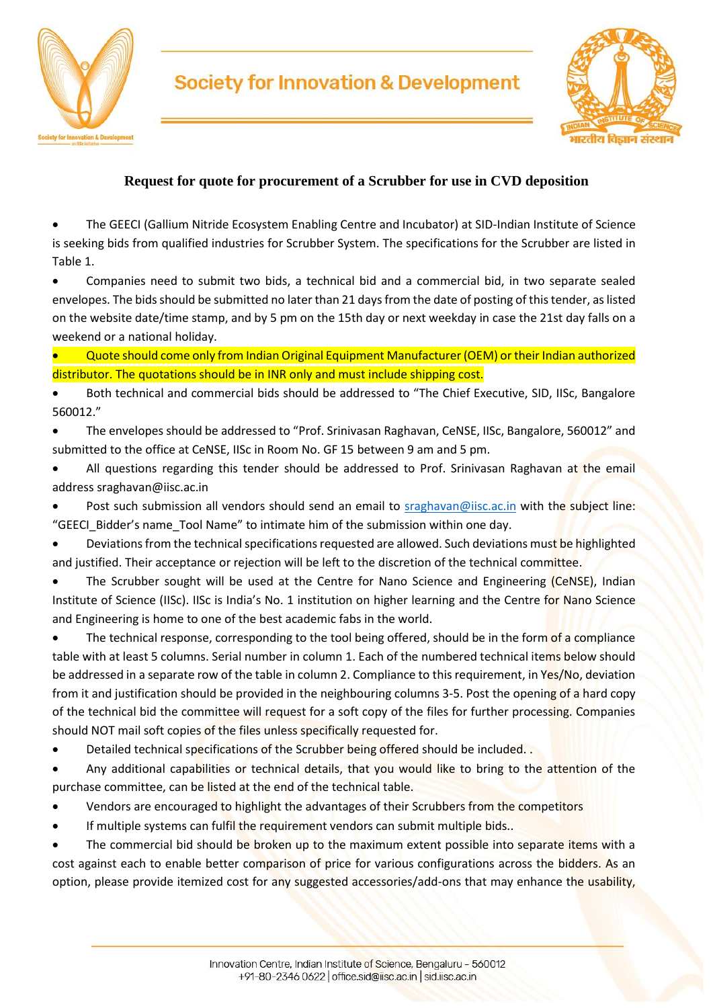



#### **Request for quote for procurement of a Scrubber for use in CVD deposition**

• The GEECI (Gallium Nitride Ecosystem Enabling Centre and Incubator) at SID-Indian Institute of Science is seeking bids from qualified industries for Scrubber System. The specifications for the Scrubber are listed in Table 1.

• Companies need to submit two bids, a technical bid and a commercial bid, in two separate sealed envelopes. The bids should be submitted no later than 21 days from the date of posting of this tender, as listed on the website date/time stamp, and by 5 pm on the 15th day or next weekday in case the 21st day falls on a weekend or a national holiday.

• Quote should come only from Indian Original Equipment Manufacturer (OEM) or their Indian authorized distributor. The quotations should be in INR only and must include shipping cost.

• Both technical and commercial bids should be addressed to "The Chief Executive, SID, IISc, Bangalore 560012."

• The envelopes should be addressed to "Prof. Srinivasan Raghavan, CeNSE, IISc, Bangalore, 560012" and submitted to the office at CeNSE, IISc in Room No. GF 15 between 9 am and 5 pm.

• All questions regarding this tender should be addressed to Prof. Srinivasan Raghavan at the email address sraghavan@iisc.ac.in

Post such submission all vendors should send an email to [sraghavan@iisc.ac.in](mailto:sraghavan@iisc.ac.in) with the subject line: "GEECI\_Bidder's name\_Tool Name" to intimate him of the submission within one day.

• Deviations from the technical specifications requested are allowed. Such deviations must be highlighted and justified. Their acceptance or rejection will be left to the discretion of the technical committee.

• The Scrubber sought will be used at the Centre for Nano Science and Engineering (CeNSE), Indian Institute of Science (IISc). IISc is India's No. 1 institution on higher learning and the Centre for Nano Science and Engineering is home to one of the best academic fabs in the world.

• The technical response, corresponding to the tool being offered, should be in the form of a compliance table with at least 5 columns. Serial number in column 1. Each of the numbered technical items below should be addressed in a separate row of the table in column 2. Compliance to this requirement, in Yes/No, deviation from it and justification should be provided in the neighbouring columns 3-5. Post the opening of a hard copy of the technical bid the committee will request for a soft copy of the files for further processing. Companies should NOT mail soft copies of the files unless specifically requested for.

• Detailed technical specifications of the Scrubber being offered should be included. .

• Any additional capabilities or technical details, that you would like to bring to the attention of the purchase committee, can be listed at the end of the technical table.

- Vendors are encouraged to highlight the advantages of their Scrubbers from the competitors
- If multiple systems can fulfil the requirement vendors can submit multiple bids..

The commercial bid should be broken up to the maximum extent possible into separate items with a cost against each to enable better comparison of price for various configurations across the bidders. As an option, please provide itemized cost for any suggested accessories/add-ons that may enhance the usability,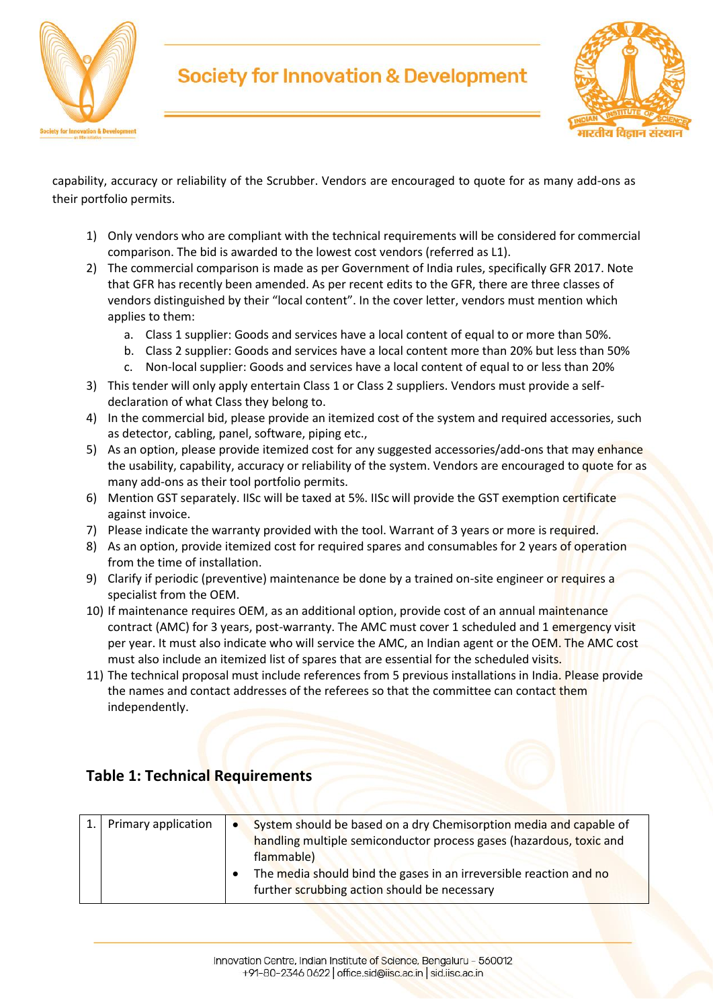



capability, accuracy or reliability of the Scrubber. Vendors are encouraged to quote for as many add-ons as their portfolio permits.

- 1) Only vendors who are compliant with the technical requirements will be considered for commercial comparison. The bid is awarded to the lowest cost vendors (referred as L1).
- 2) The commercial comparison is made as per Government of India rules, specifically GFR 2017. Note that GFR has recently been amended. As per recent edits to the GFR, there are three classes of vendors distinguished by their "local content". In the cover letter, vendors must mention which applies to them:
	- a. Class 1 supplier: Goods and services have a local content of equal to or more than 50%.
	- b. Class 2 supplier: Goods and services have a local content more than 20% but less than 50%
	- c. Non-local supplier: Goods and services have a local content of equal to or less than 20%
- 3) This tender will only apply entertain Class 1 or Class 2 suppliers. Vendors must provide a selfdeclaration of what Class they belong to.
- 4) In the commercial bid, please provide an itemized cost of the system and required accessories, such as detector, cabling, panel, software, piping etc.,
- 5) As an option, please provide itemized cost for any suggested accessories/add-ons that may enhance the usability, capability, accuracy or reliability of the system. Vendors are encouraged to quote for as many add-ons as their tool portfolio permits.
- 6) Mention GST separately. IISc will be taxed at 5%. IISc will provide the GST exemption certificate against invoice.
- 7) Please indicate the warranty provided with the tool. Warrant of 3 years or more is required.
- 8) As an option, provide itemized cost for required spares and consumables for 2 years of operation from the time of installation.
- 9) Clarify if periodic (preventive) maintenance be done by a trained on-site engineer or requires a specialist from the OEM.
- 10) If maintenance requires OEM, as an additional option, provide cost of an annual maintenance contract (AMC) for 3 years, post-warranty. The AMC must cover 1 scheduled and 1 emergency visit per year. It must also indicate who will service the AMC, an Indian agent or the OEM. The AMC cost must also include an itemized list of spares that are essential for the scheduled visits.
- 11) The technical proposal must include references from 5 previous installations in India. Please provide the names and contact addresses of the referees so that the committee can contact them independently.

#### **Table 1: Technical Requirements**

| 1. Primary application | $\bullet$ | System should be based on a dry Chemisorption media and capable of<br>handling multiple semiconductor process gases (hazardous, toxic and<br>flammable)<br>The media should bind the gases in an irreversible reaction and no<br>further scrubbing action should be necessary |
|------------------------|-----------|-------------------------------------------------------------------------------------------------------------------------------------------------------------------------------------------------------------------------------------------------------------------------------|
|                        |           |                                                                                                                                                                                                                                                                               |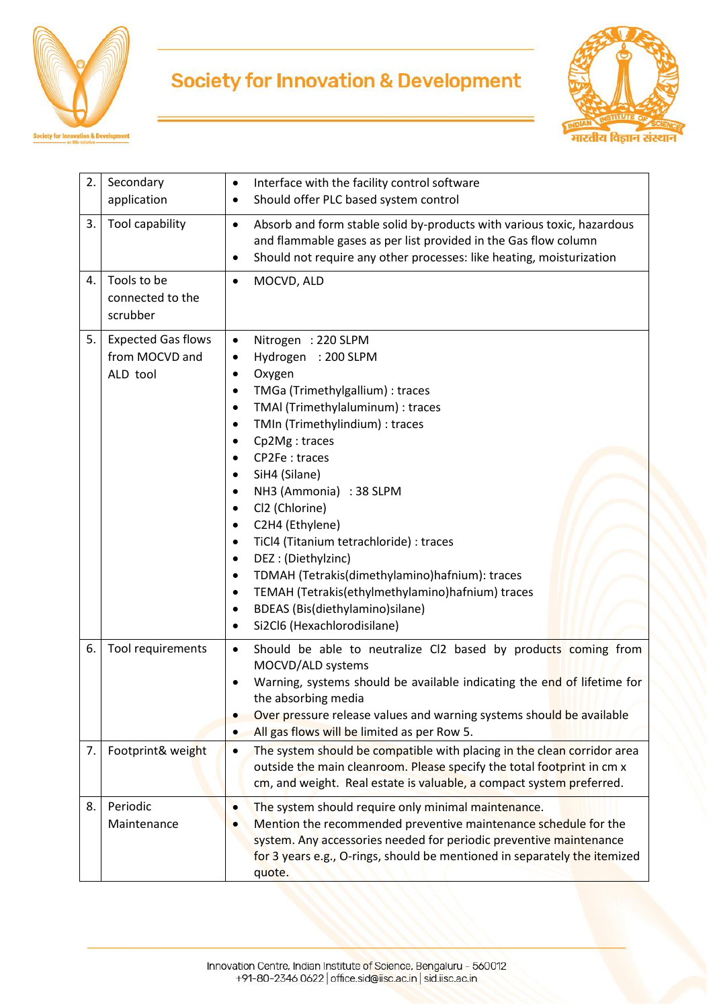



| 2. | Secondary<br>application                                | Interface with the facility control software<br>$\bullet$<br>Should offer PLC based system control<br>٠                                                                                                                                                                                                                                                                                                                                                                                                                                                                                                                              |
|----|---------------------------------------------------------|--------------------------------------------------------------------------------------------------------------------------------------------------------------------------------------------------------------------------------------------------------------------------------------------------------------------------------------------------------------------------------------------------------------------------------------------------------------------------------------------------------------------------------------------------------------------------------------------------------------------------------------|
| 3. | Tool capability                                         | Absorb and form stable solid by-products with various toxic, hazardous<br>$\bullet$<br>and flammable gases as per list provided in the Gas flow column<br>Should not require any other processes: like heating, moisturization<br>٠                                                                                                                                                                                                                                                                                                                                                                                                  |
| 4. | Tools to be<br>connected to the<br>scrubber             | MOCVD, ALD<br>$\bullet$                                                                                                                                                                                                                                                                                                                                                                                                                                                                                                                                                                                                              |
| 5. | <b>Expected Gas flows</b><br>from MOCVD and<br>ALD tool | Nitrogen : 220 SLPM<br>$\bullet$<br>Hydrogen : 200 SLPM<br>Oxygen<br>$\bullet$<br>TMGa (Trimethylgallium) : traces<br>$\bullet$<br>TMAI (Trimethylaluminum) : traces<br>TMIn (Trimethylindium) : traces<br>Cp2Mg: traces<br>CP2Fe: traces<br>SiH4 (Silane)<br>NH3 (Ammonia) : 38 SLPM<br>Cl2 (Chlorine)<br>C2H4 (Ethylene)<br>$\bullet$<br>TiCl4 (Titanium tetrachloride) : traces<br>DEZ: (Diethylzinc)<br>$\bullet$<br>TDMAH (Tetrakis(dimethylamino)hafnium): traces<br>$\bullet$<br>TEMAH (Tetrakis(ethylmethylamino)hafnium) traces<br>$\bullet$<br>BDEAS (Bis(diethylamino)silane)<br>Si2Cl6 (Hexachlorodisilane)<br>$\bullet$ |
| 6. | Tool requirements                                       | Should be able to neutralize CI2 based by products coming from<br>$\bullet$<br>MOCVD/ALD systems<br>Warning, systems should be available indicating the end of lifetime for<br>the absorbing media<br>Over pressure release values and warning systems should be available<br>All gas flows will be limited as per Row 5.                                                                                                                                                                                                                                                                                                            |
| 7. | Footprint& weight                                       | The system should be compatible with placing in the clean corridor area<br>outside the main cleanroom. Please specify the total footprint in cm x<br>cm, and weight. Real estate is valuable, a compact system preferred.                                                                                                                                                                                                                                                                                                                                                                                                            |
| 8. | Periodic<br>Maintenance                                 | The system should require only minimal maintenance.<br>$\bullet$<br>Mention the recommended preventive maintenance schedule for the<br>system. Any accessories needed for periodic preventive maintenance<br>for 3 years e.g., O-rings, should be mentioned in separately the itemized<br>quote.                                                                                                                                                                                                                                                                                                                                     |